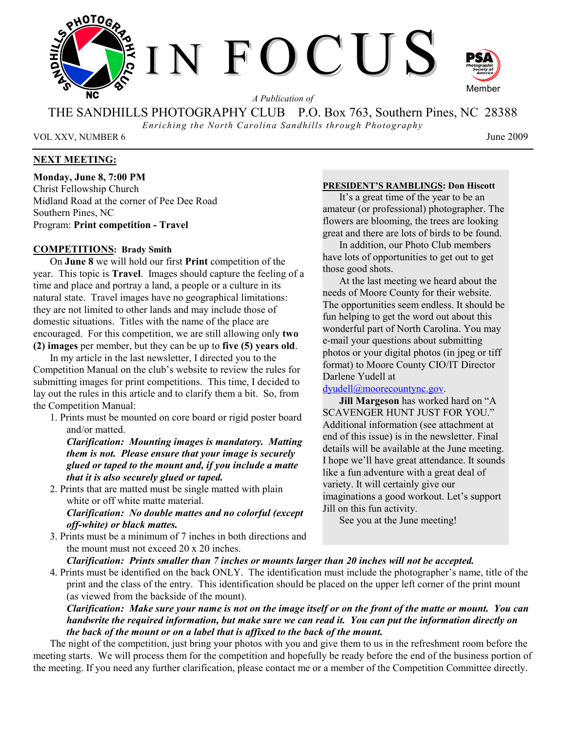

*A Publication of* 

THE SANDHILLS PHOTOGRAPHY CLUB P.O. Box 763, Southern Pines, NC 28388

*Enriching the North Carolina Sandhills through Photography* 

VOL XXV, NUMBER 6 June 2009

## **NEXT MEETING:**

**Monday, June 8, 7:00 PM**  Christ Fellowship Church Midland Road at the corner of Pee Dee Road Southern Pines, NC Program: **Print competition - Travel**

## **COMPETITIONS: Brady Smith**

On **June 8** we will hold our first **Print** competition of the year. This topic is **Travel**. Images should capture the feeling of a time and place and portray a land, a people or a culture in its natural state. Travel images have no geographical limitations: they are not limited to other lands and may include those of domestic situations. Titles with the name of the place are encouraged. For this competition, we are still allowing only **two (2) images** per member, but they can be up to **five (5) years old**.

In my article in the last newsletter, I directed you to the Competition Manual on the club's website to review the rules for submitting images for print competitions. This time, I decided to lay out the rules in this article and to clarify them a bit. So, from the Competition Manual:

1. Prints must be mounted on core board or rigid poster board and/or matted.

*Clarification: Mounting images is mandatory. Matting them is not. Please ensure that your image is securely glued or taped to the mount and, if you include a matte that it is also securely glued or taped.* 

2. Prints that are matted must be single matted with plain white or off white matte material. *Clarification: No double mattes and no colorful (except* 

# *off-white) or black mattes.*

3. Prints must be a minimum of 7 inches in both directions and the mount must not exceed 20 x 20 inches.

## **PRESIDENT'S RAMBLINGS: Don Hiscott**

It's a great time of the year to be an amateur (or professional) photographer. The flowers are blooming, the trees are looking great and there are lots of birds to be found.

In addition, our Photo Club members have lots of opportunities to get out to get those good shots.

At the last meeting we heard about the needs of Moore County for their website. The opportunities seem endless. It should be fun helping to get the word out about this wonderful part of North Carolina. You may e-mail your questions about submitting photos or your digital photos (in jpeg or tiff format) to Moore County CIO/IT Director Darlene Yudell at

dyudell@moorecountync.gov.

**Jill Margeson** has worked hard on "A SCAVENGER HUNT JUST FOR YOU." Additional information (see attachment at end of this issue) is in the newsletter. Final details will be available at the June meeting. I hope we'll have great attendance. It sounds like a fun adventure with a great deal of variety. It will certainly give our imaginations a good workout. Let's support Jill on this fun activity.

See you at the June meeting!

*Clarification: Prints smaller than 7 inches or mounts larger than 20 inches will not be accepted.* 

4. Prints must be identified on the back ONLY. The identification must include the photographer's name, title of the print and the class of the entry. This identification should be placed on the upper left corner of the print mount (as viewed from the backside of the mount).

*Clarification: Make sure your name is not on the image itself or on the front of the matte or mount. You can handwrite the required information, but make sure we can read it. You can put the information directly on the back of the mount or on a label that is affixed to the back of the mount.* 

The night of the competition, just bring your photos with you and give them to us in the refreshment room before the meeting starts. We will process them for the competition and hopefully be ready before the end of the business portion of the meeting. If you need any further clarification, please contact me or a member of the Competition Committee directly.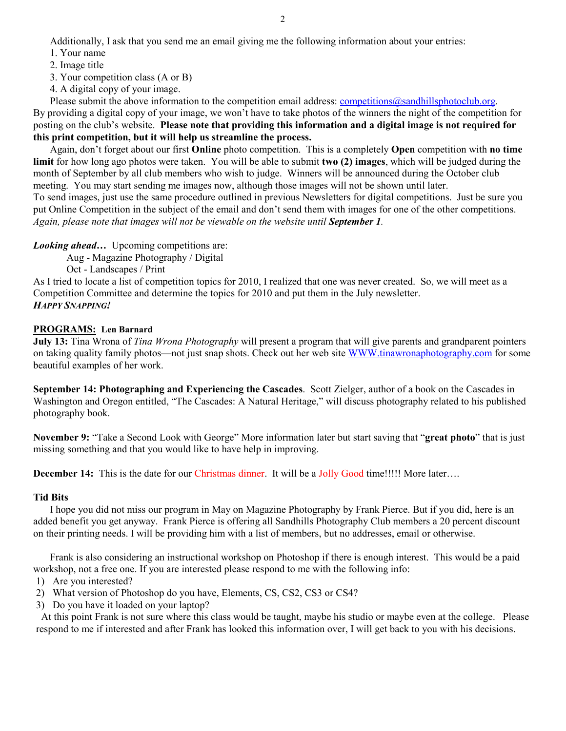Additionally, I ask that you send me an email giving me the following information about your entries:

- 1. Your name
- 2. Image title
- 3. Your competition class (A or B)
- 4. A digital copy of your image.

Please submit the above information to the competition email address: competitions@sandhillsphotoclub.org. By providing a digital copy of your image, we won't have to take photos of the winners the night of the competition for posting on the club's website. **Please note that providing this information and a digital image is not required for this print competition, but it will help us streamline the process.**

Again, don't forget about our first **Online** photo competition. This is a completely **Open** competition with **no time limit** for how long ago photos were taken. You will be able to submit **two (2) images**, which will be judged during the month of September by all club members who wish to judge. Winners will be announced during the October club meeting. You may start sending me images now, although those images will not be shown until later.

To send images, just use the same procedure outlined in previous Newsletters for digital competitions. Just be sure you put Online Competition in the subject of the email and don't send them with images for one of the other competitions. *Again, please note that images will not be viewable on the website until September 1.* 

*Looking ahead*... Upcoming competitions are:

Aug - Magazine Photography / Digital

Oct - Landscapes / Print

As I tried to locate a list of competition topics for 2010, I realized that one was never created. So, we will meet as a Competition Committee and determine the topics for 2010 and put them in the July newsletter. *HAPPY SNAPPING!*

## **PROGRAMS: Len Barnard**

**July 13:** Tina Wrona of *Tina Wrona Photography* will present a program that will give parents and grandparent pointers on taking quality family photos—not just snap shots. Check out her web site WWW.tinawronaphotography.com for some beautiful examples of her work.

**September 14: Photographing and Experiencing the Cascades**. Scott Zielger, author of a book on the Cascades in Washington and Oregon entitled, "The Cascades: A Natural Heritage," will discuss photography related to his published photography book.

**November 9:** "Take a Second Look with George" More information later but start saving that "**great photo**" that is just missing something and that you would like to have help in improving.

**December 14:** This is the date for our Christmas dinner. It will be a Jolly Good time!!!!! More later....

## **Tid Bits**

I hope you did not miss our program in May on Magazine Photography by Frank Pierce. But if you did, here is an added benefit you get anyway. Frank Pierce is offering all Sandhills Photography Club members a 20 percent discount on their printing needs. I will be providing him with a list of members, but no addresses, email or otherwise.

Frank is also considering an instructional workshop on Photoshop if there is enough interest. This would be a paid workshop, not a free one. If you are interested please respond to me with the following info:

- 1) Are you interested?
- 2) What version of Photoshop do you have, Elements, CS, CS2, CS3 or CS4?
- 3) Do you have it loaded on your laptop?

 At this point Frank is not sure where this class would be taught, maybe his studio or maybe even at the college. Please respond to me if interested and after Frank has looked this information over, I will get back to you with his decisions.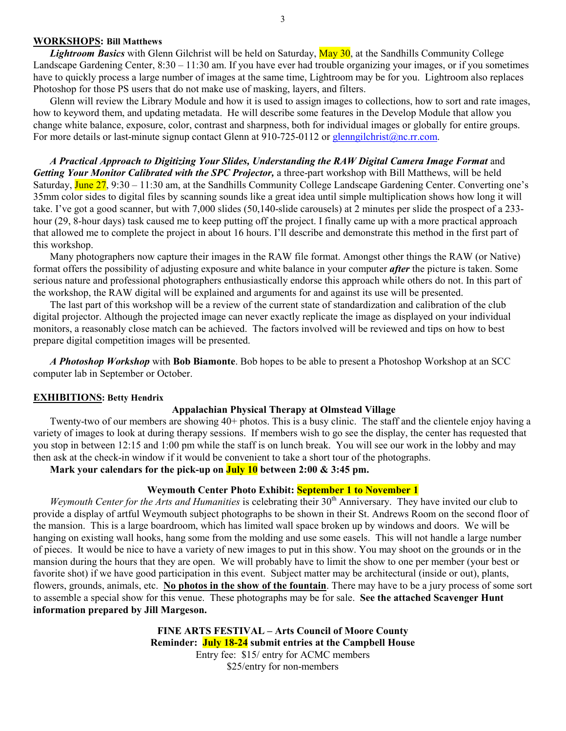#### 3

## **WORKSHOPS: Bill Matthews**

*Lightroom Basics* with Glenn Gilchrist will be held on Saturday, May 30, at the Sandhills Community College Landscape Gardening Center, 8:30 – 11:30 am. If you have ever had trouble organizing your images, or if you sometimes have to quickly process a large number of images at the same time, Lightroom may be for you. Lightroom also replaces Photoshop for those PS users that do not make use of masking, layers, and filters.

Glenn will review the Library Module and how it is used to assign images to collections, how to sort and rate images, how to keyword them, and updating metadata. He will describe some features in the Develop Module that allow you change white balance, exposure, color, contrast and sharpness, both for individual images or globally for entire groups. For more details or last-minute signup contact Glenn at 910-725-0112 or glenngilchrist@nc.rr.com.

 *A Practical Approach to Digitizing Your Slides, Understanding the RAW Digital Camera Image Format* and *Getting Your Monitor Calibrated with the SPC Projector, a three-part workshop with Bill Matthews, will be held* Saturday, June 27, 9:30 – 11:30 am, at the Sandhills Community College Landscape Gardening Center. Converting one's 35mm color sides to digital files by scanning sounds like a great idea until simple multiplication shows how long it will take. I've got a good scanner, but with 7,000 slides (50,140-slide carousels) at 2 minutes per slide the prospect of a 233 hour (29, 8-hour days) task caused me to keep putting off the project. I finally came up with a more practical approach that allowed me to complete the project in about 16 hours. I'll describe and demonstrate this method in the first part of this workshop.

 Many photographers now capture their images in the RAW file format. Amongst other things the RAW (or Native) format offers the possibility of adjusting exposure and white balance in your computer *after* the picture is taken. Some serious nature and professional photographers enthusiastically endorse this approach while others do not. In this part of the workshop, the RAW digital will be explained and arguments for and against its use will be presented.

 The last part of this workshop will be a review of the current state of standardization and calibration of the club digital projector. Although the projected image can never exactly replicate the image as displayed on your individual monitors, a reasonably close match can be achieved. The factors involved will be reviewed and tips on how to best prepare digital competition images will be presented.

 *A Photoshop Workshop* with **Bob Biamonte**. Bob hopes to be able to present a Photoshop Workshop at an SCC computer lab in September or October.

#### **EXHIBITIONS: Betty Hendrix**

#### **Appalachian Physical Therapy at Olmstead Village**

Twenty-two of our members are showing 40+ photos. This is a busy clinic. The staff and the clientele enjoy having a variety of images to look at during therapy sessions. If members wish to go see the display, the center has requested that you stop in between 12:15 and 1:00 pm while the staff is on lunch break. You will see our work in the lobby and may then ask at the check-in window if it would be convenient to take a short tour of the photographs.

**Mark your calendars for the pick-up on July 10 between 2:00 & 3:45 pm.** 

## **Weymouth Center Photo Exhibit: September 1 to November 1**

*Weymouth Center for the Arts and Humanities* is celebrating their 30<sup>th</sup> Anniversary. They have invited our club to provide a display of artful Weymouth subject photographs to be shown in their St. Andrews Room on the second floor of the mansion. This is a large boardroom, which has limited wall space broken up by windows and doors. We will be hanging on existing wall hooks, hang some from the molding and use some easels. This will not handle a large number of pieces. It would be nice to have a variety of new images to put in this show. You may shoot on the grounds or in the mansion during the hours that they are open. We will probably have to limit the show to one per member (your best or favorite shot) if we have good participation in this event. Subject matter may be architectural (inside or out), plants, flowers, grounds, animals, etc. **No photos in the show of the fountain**. There may have to be a jury process of some sort to assemble a special show for this venue. These photographs may be for sale. **See the attached Scavenger Hunt information prepared by Jill Margeson.** 

> **FINE ARTS FESTIVAL – Arts Council of Moore County Reminder: July 18-24 submit entries at the Campbell House**  Entry fee: \$15/ entry for ACMC members \$25/entry for non-members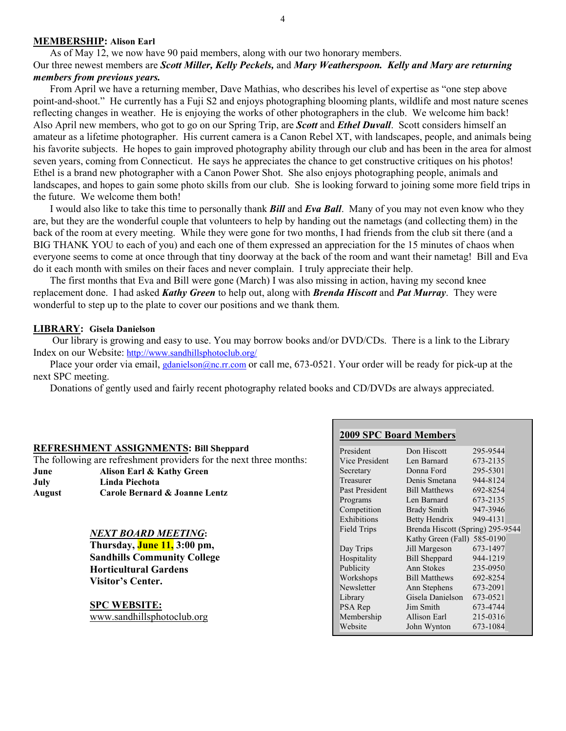### **MEMBERSHIP: Alison Earl**

As of May 12, we now have 90 paid members, along with our two honorary members. Our three newest members are *Scott Miller, Kelly Peckels,* and *Mary Weatherspoon. Kelly and Mary are returning members from previous years.* 

From April we have a returning member, Dave Mathias, who describes his level of expertise as "one step above point-and-shoot." He currently has a Fuji S2 and enjoys photographing blooming plants, wildlife and most nature scenes reflecting changes in weather. He is enjoying the works of other photographers in the club. We welcome him back! Also April new members, who got to go on our Spring Trip, are *Scott* and *Ethel Duvall*. Scott considers himself an amateur as a lifetime photographer. His current camera is a Canon Rebel XT, with landscapes, people, and animals being his favorite subjects. He hopes to gain improved photography ability through our club and has been in the area for almost seven years, coming from Connecticut. He says he appreciates the chance to get constructive critiques on his photos! Ethel is a brand new photographer with a Canon Power Shot. She also enjoys photographing people, animals and landscapes, and hopes to gain some photo skills from our club. She is looking forward to joining some more field trips in the future. We welcome them both!

I would also like to take this time to personally thank *Bill* and *Eva Ball*. Many of you may not even know who they are, but they are the wonderful couple that volunteers to help by handing out the nametags (and collecting them) in the back of the room at every meeting. While they were gone for two months, I had friends from the club sit there (and a BIG THANK YOU to each of you) and each one of them expressed an appreciation for the 15 minutes of chaos when everyone seems to come at once through that tiny doorway at the back of the room and want their nametag! Bill and Eva do it each month with smiles on their faces and never complain. I truly appreciate their help.

The first months that Eva and Bill were gone (March) I was also missing in action, having my second knee replacement done. I had asked *Kathy Green* to help out, along with *Brenda Hiscott* and *Pat Murray*. They were wonderful to step up to the plate to cover our positions and we thank them.

### **LIBRARY: Gisela Danielson**

 Our library is growing and easy to use. You may borrow books and/or DVD/CDs. There is a link to the Library Index on our Website: http://www.sandhillsphotoclub.org/

Place your order via email, *gdanielson@nc.rr.com* or call me, 673-0521. Your order will be ready for pick-up at the next SPC meeting.

Donations of gently used and fairly recent photography related books and CD/DVDs are always appreciated.

|                                                                    |                                                           | $2002$ of $C$ doar a members |                                  |          |
|--------------------------------------------------------------------|-----------------------------------------------------------|------------------------------|----------------------------------|----------|
| <b>REFRESHMENT ASSIGNMENTS: Bill Sheppard</b>                      |                                                           | President                    | Don Hiscott                      | 295-9544 |
| The following are refreshment providers for the next three months: |                                                           | Vice President               | Len Barnard                      | 673-2135 |
| June                                                               | Alison Earl & Kathy Green                                 | Secretary                    | Donna Ford                       | 295-5301 |
| July                                                               | Linda Piechota                                            | Treasurer                    | Denis Smetana                    | 944-8124 |
| <b>August</b>                                                      | Carole Bernard & Joanne Lentz                             | Past President               | <b>Bill Matthews</b>             | 692-8254 |
|                                                                    |                                                           | Programs                     | Len Barnard                      | 673-2135 |
|                                                                    |                                                           | Competition                  | Brady Smith                      | 947-3946 |
|                                                                    |                                                           | Exhibitions                  | Betty Hendrix                    | 949-4131 |
|                                                                    | <b>NEXT BOARD MEETING:</b><br>Thursday, June 11, 3:00 pm, | Field Trips                  | Brenda Hiscott (Spring) 295-9544 |          |
|                                                                    |                                                           |                              | Kathy Green (Fall) 585-0190      |          |
|                                                                    |                                                           | Day Trips                    | Jill Margeson                    | 673-1497 |
|                                                                    | <b>Sandhills Community College</b>                        | Hospitality                  | <b>Bill Sheppard</b>             | 944-1219 |
|                                                                    | <b>Horticultural Gardens</b>                              | Publicity                    | Ann Stokes                       | 235-0950 |
|                                                                    | Visitor's Center.                                         | Workshops                    | <b>Bill Matthews</b>             | 692-8254 |
|                                                                    |                                                           | Newsletter                   | Ann Stephens                     | 673-2091 |
|                                                                    |                                                           | Library                      | Gisela Danielson                 | 673-0521 |
|                                                                    | <b>SPC WEBSITE:</b>                                       | PSA Rep                      | Jim Smith                        | 673-4744 |
|                                                                    | www.sandhillsphotoclub.org                                | Membership                   | Allison Earl                     | 215-0316 |
|                                                                    |                                                           | Website                      | John Wynton                      | 673-1084 |
|                                                                    |                                                           |                              |                                  |          |

# **2009 SPC Board Members**

295-6686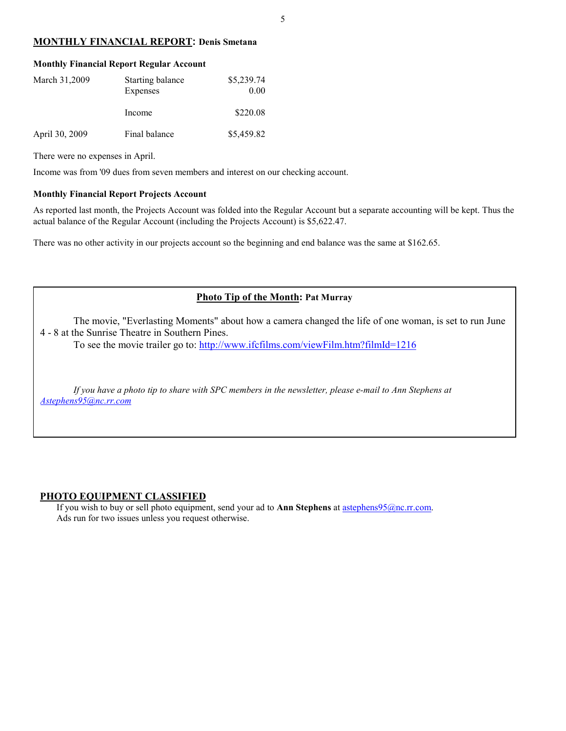## **MONTHLY FINANCIAL REPORT: Denis Smetana**

| <b>Monthly Financial Report Regular Account</b> |                              |                    |  |  |  |  |
|-------------------------------------------------|------------------------------|--------------------|--|--|--|--|
| March 31,2009                                   | Starting balance<br>Expenses | \$5,239.74<br>0.00 |  |  |  |  |
|                                                 | Income                       | \$220.08           |  |  |  |  |
| April 30, 2009                                  | Final balance                | \$5,459.82         |  |  |  |  |

There were no expenses in April.

Income was from '09 dues from seven members and interest on our checking account.

#### **Monthly Financial Report Projects Account**

As reported last month, the Projects Account was folded into the Regular Account but a separate accounting will be kept. Thus the actual balance of the Regular Account (including the Projects Account) is \$5,622.47.

There was no other activity in our projects account so the beginning and end balance was the same at \$162.65.

## **Photo Tip of the Month: Pat Murray**

The movie, "Everlasting Moments" about how a camera changed the life of one woman, is set to run June 4 - 8 at the Sunrise Theatre in Southern Pines.

To see the movie trailer go to: http://www.ifcfilms.com/viewFilm.htm?filmId=1216

*If you have a photo tip to share with SPC members in the newsletter, please e-mail to Ann Stephens at Astephens95@nc.rr.com*

#### **PHOTO EQUIPMENT CLASSIFIED**

If you wish to buy or sell photo equipment, send your ad to **Ann Stephens** at astephens95@nc.rr.com. Ads run for two issues unless you request otherwise.